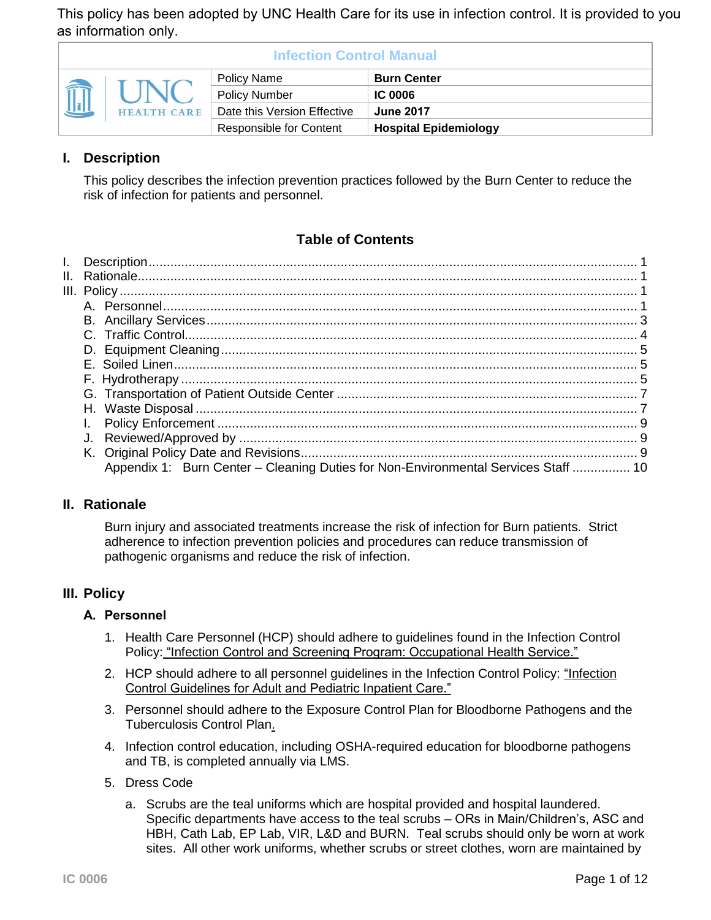This policy has been adopted by UNC Health Care for its use in infection control. It is provided to you as information only.

| <b>Infection Control Manual</b> |                    |                                |                              |  |  |
|---------------------------------|--------------------|--------------------------------|------------------------------|--|--|
| I                               | <b>HEALTH CARE</b> | Policy Name                    | <b>Burn Center</b>           |  |  |
|                                 |                    | <b>Policy Number</b>           | <b>IC 0006</b>               |  |  |
|                                 |                    | Date this Version Effective    | <b>June 2017</b>             |  |  |
|                                 |                    | <b>Responsible for Content</b> | <b>Hospital Epidemiology</b> |  |  |

# **I. Description**

This policy describes the infection prevention practices followed by the Burn Center to reduce the risk of infection for patients and personnel.

# **Table of Contents**

| Appendix 1: Burn Center - Cleaning Duties for Non-Environmental Services Staff  10 |  |
|------------------------------------------------------------------------------------|--|

## **II. Rationale**

Burn injury and associated treatments increase the risk of infection for Burn patients. Strict adherence to infection prevention policies and procedures can reduce transmission of pathogenic organisms and reduce the risk of infection.

## **III. Policy**

#### **A. Personnel**

- 1. Health Care Personnel (HCP) should adhere to guidelines found in the Infection Control Policy: ["Infection Control and Screening Program: Occupational Health Service."](http://intranet.unchealthcare.org/intranet/hospitaldepartments/infection/policies/ohs.pdf)
- 2. HCP should adhere to all personnel guidelines in the Infection Control Policy: ["Infection](http://intranet.unchealthcare.org/intranet/hospitaldepartments/infection/policies/inptcare.pdf) [Control Guidelines for Adult and Pediatric Inpatient Care."](http://intranet.unchealthcare.org/intranet/hospitaldepartments/infection/policies/inptcare.pdf)
- 3. Personnel should adhere to the [Exposure Control Plan for Bloodborne Pathogens](http://intranet.unchealthcare.org/intranet/hospitaldepartments/infection/policies/Ecpbbp.pdf) and the [Tuberculosis Control Plan.](http://intranet.unchealthcare.org/intranet/hospitaldepartments/infection/policies/tbcontro.pdf)
- 4. Infection control education, including OSHA-required education for bloodborne pathogens and TB, is completed annually via LMS.
- 5. Dress Code
	- a. Scrubs are the teal uniforms which are hospital provided and hospital laundered. Specific departments have access to the teal scrubs – ORs in Main/Children's, ASC and HBH, Cath Lab, EP Lab, VIR, L&D and BURN. Teal scrubs should only be worn at work sites. All other work uniforms, whether scrubs or street clothes, worn are maintained by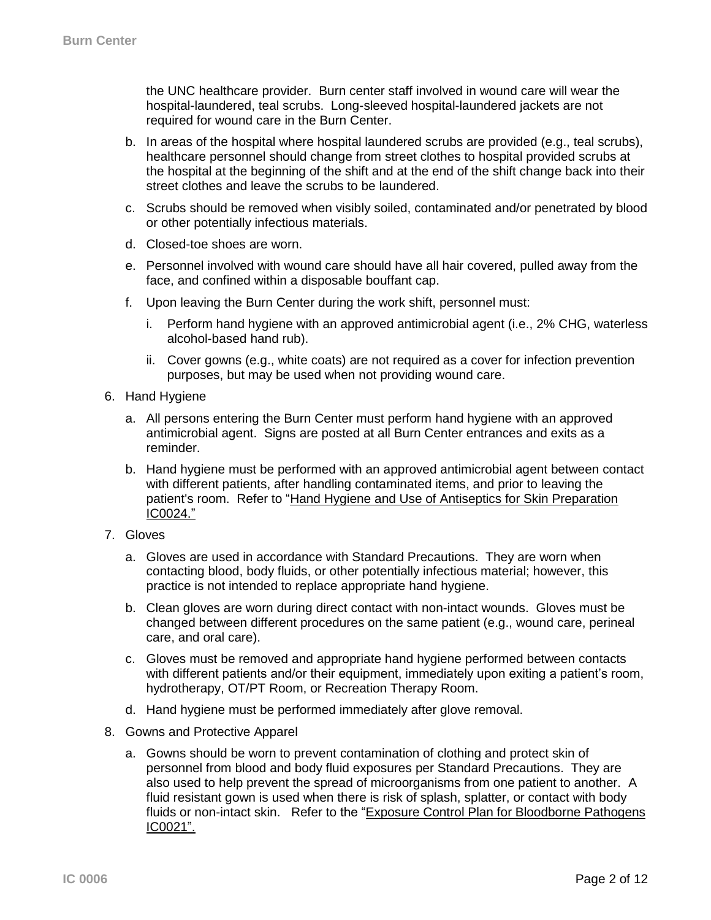the UNC healthcare provider. Burn center staff involved in wound care will wear the hospital-laundered, teal scrubs. Long-sleeved hospital-laundered jackets are not required for wound care in the Burn Center.

- b. In areas of the hospital where hospital laundered scrubs are provided (e.g., teal scrubs), healthcare personnel should change from street clothes to hospital provided scrubs at the hospital at the beginning of the shift and at the end of the shift change back into their street clothes and leave the scrubs to be laundered.
- c. Scrubs should be removed when visibly soiled, contaminated and/or penetrated by blood or other potentially infectious materials.
- d. Closed-toe shoes are worn.
- e. Personnel involved with wound care should have all hair covered, pulled away from the face, and confined within a disposable bouffant cap.
- f. Upon leaving the Burn Center during the work shift, personnel must:
	- i. Perform hand hygiene with an approved antimicrobial agent (i.e., 2% CHG, waterless alcohol-based hand rub).
	- ii. Cover gowns (e.g., white coats) are not required as a cover for infection prevention purposes, but may be used when not providing wound care.
- 6. Hand Hygiene
	- a. All persons entering the Burn Center must perform hand hygiene with an approved antimicrobial agent. Signs are posted at all Burn Center entrances and exits as a reminder.
	- b. Hand hygiene must be performed with an approved antimicrobial agent between contact with different patients, after handling contaminated items, and prior to leaving the patient's room. Refer to ["Hand Hygiene and Use of Antiseptics for Skin Preparation](http://intranet.unchealthcare.org/intranet/hospitaldepartments/infection/policies/handwash.pdf) [IC0024.](http://intranet.unchealthcare.org/intranet/hospitaldepartments/infection/policies/handwash.pdf)"
- 7. Gloves
	- a. Gloves are used in accordance with Standard Precautions. They are worn when contacting blood, body fluids, or other potentially infectious material; however, this practice is not intended to replace appropriate hand hygiene.
	- b. Clean gloves are worn during direct contact with non-intact wounds. Gloves must be changed between different procedures on the same patient (e.g., wound care, perineal care, and oral care).
	- c. Gloves must be removed and appropriate hand hygiene performed between contacts with different patients and/or their equipment, immediately upon exiting a patient's room, hydrotherapy, OT/PT Room, or Recreation Therapy Room.
	- d. Hand hygiene must be performed immediately after glove removal.
- 8. Gowns and Protective Apparel
	- a. Gowns should be worn to prevent contamination of clothing and protect skin of personnel from blood and body fluid exposures per Standard Precautions. They are also used to help prevent the spread of microorganisms from one patient to another. A fluid resistant gown is used when there is risk of splash, splatter, or contact with body fluids or non-intact skin. Refer to the ["Exposure Control Plan for Bloodborne Pathogens](http://intranet.unchealthcare.org/intranet/hospitaldepartments/infection/policies/Ecpbbp.pdf) [IC0021".](http://intranet.unchealthcare.org/intranet/hospitaldepartments/infection/policies/Ecpbbp.pdf)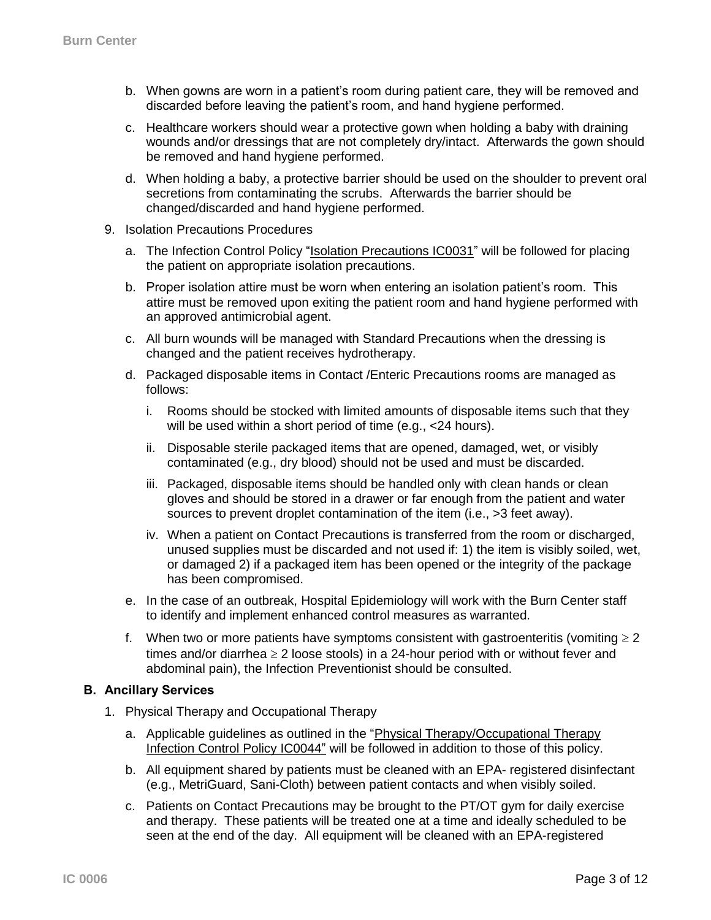- b. When gowns are worn in a patient's room during patient care, they will be removed and discarded before leaving the patient's room, and hand hygiene performed.
- c. Healthcare workers should wear a protective gown when holding a baby with draining wounds and/or dressings that are not completely dry/intact. Afterwards the gown should be removed and hand hygiene performed.
- d. When holding a baby, a protective barrier should be used on the shoulder to prevent oral secretions from contaminating the scrubs. Afterwards the barrier should be changed/discarded and hand hygiene performed.
- 9. Isolation Precautions Procedures
	- a. The Infection Control Policy ["Isolation Precautions](http://intranet.unchealthcare.org/intranet/hospitaldepartments/infection/policies/Isolation) IC0031" will be followed for placing the patient on appropriate isolation precautions.
	- b. Proper isolation attire must be worn when entering an isolation patient's room. This attire must be removed upon exiting the patient room and hand hygiene performed with an approved antimicrobial agent.
	- c. All burn wounds will be managed with Standard Precautions when the dressing is changed and the patient receives hydrotherapy.
	- d. Packaged disposable items in Contact /Enteric Precautions rooms are managed as follows:
		- i. Rooms should be stocked with limited amounts of disposable items such that they will be used within a short period of time (e.g., <24 hours).
		- ii. Disposable sterile packaged items that are opened, damaged, wet, or visibly contaminated (e.g., dry blood) should not be used and must be discarded.
		- iii. Packaged, disposable items should be handled only with clean hands or clean gloves and should be stored in a drawer or far enough from the patient and water sources to prevent droplet contamination of the item (i.e., >3 feet away).
		- iv. When a patient on Contact Precautions is transferred from the room or discharged, unused supplies must be discarded and not used if: 1) the item is visibly soiled, wet, or damaged 2) if a packaged item has been opened or the integrity of the package has been compromised.
	- e. In the case of an outbreak, Hospital Epidemiology will work with the Burn Center staff to identify and implement enhanced control measures as warranted.
	- f. When two or more patients have symptoms consistent with gastroenteritis (vomiting  $\geq 2$ times and/or diarrhea  $\geq 2$  loose stools) in a 24-hour period with or without fever and abdominal pain), the Infection Preventionist should be consulted.

## **B. Ancillary Services**

- 1. Physical Therapy and Occupational Therapy
	- a. Applicable guidelines as outlined in the "Physical Therapy/Occupational Therapy [Infection Control Policy](http://intranet.unchealthcare.org/hospitaldepartments/infection/policies/ptot.pdf) IC0044" will be followed in addition to those of this policy.
	- b. All equipment shared by patients must be cleaned with an EPA- registered disinfectant (e.g., MetriGuard, Sani-Cloth) between patient contacts and when visibly soiled.
	- c. Patients on Contact Precautions may be brought to the PT/OT gym for daily exercise and therapy. These patients will be treated one at a time and ideally scheduled to be seen at the end of the day. All equipment will be cleaned with an EPA-registered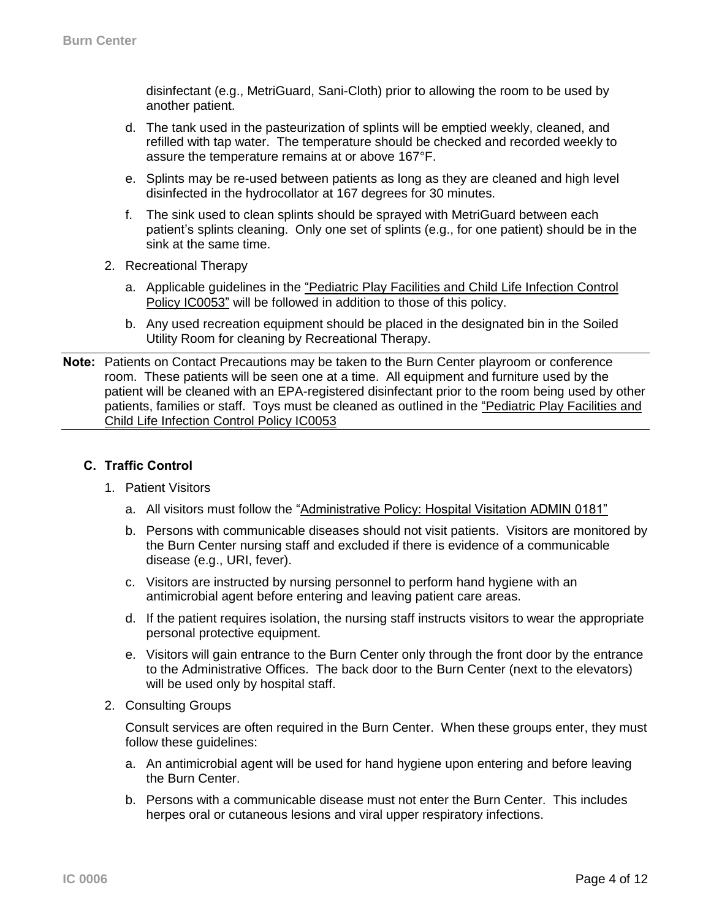disinfectant (e.g., MetriGuard, Sani-Cloth) prior to allowing the room to be used by another patient.

- d. The tank used in the pasteurization of splints will be emptied weekly, cleaned, and refilled with tap water. The temperature should be checked and recorded weekly to assure the temperature remains at or above 167°F.
- e. Splints may be re-used between patients as long as they are cleaned and high level disinfected in the hydrocollator at 167 degrees for 30 minutes.
- f. The sink used to clean splints should be sprayed with MetriGuard between each patient's splints cleaning. Only one set of splints (e.g., for one patient) should be in the sink at the same time.
- 2. Recreational Therapy
	- a. Applicable guidelines in the "Pediatric Play Facilities and Child Life Infection Control [Policy IC0053"](http://intranet.unchealthcare.org/intranet/hospitaldepartments/infection/policies/pedplayfacilitiesandchildlife.pdf) will be followed in addition to those of this policy.
	- b. Any used recreation equipment should be placed in the designated bin in the Soiled Utility Room for cleaning by Recreational Therapy.
- **Note:** Patients on Contact Precautions may be taken to the Burn Center playroom or conference room. These patients will be seen one at a time. All equipment and furniture used by the patient will be cleaned with an EPA-registered disinfectant prior to the room being used by other patients, families or staff. Toys must be cleaned as outlined in the ["Pediatric Play Facilities and](http://intranet.unchealthcare.org/intranet/hospitaldepartments/infection/policies/pedplayfacilitiesandchildlife.pdf)  [Child Life Infection Control Policy IC0053](http://intranet.unchealthcare.org/intranet/hospitaldepartments/infection/policies/pedplayfacilitiesandchildlife.pdf)

## **C. Traffic Control**

- 1. Patient Visitors
	- a. All visitors must follow the ["Administrative Policy: Hospital Visitation ADMIN 0181"](http://intranet.unchealthcare.org/policies/unc-hcs-policies-pdf-new-format/ADMIN0181%20pdf.pdf)
	- b. Persons with communicable diseases should not visit patients. Visitors are monitored by the Burn Center nursing staff and excluded if there is evidence of a communicable disease (e.g., URI, fever).
	- c. Visitors are instructed by nursing personnel to perform hand hygiene with an antimicrobial agent before entering and leaving patient care areas.
	- d. If the patient requires isolation, the nursing staff instructs visitors to wear the appropriate personal protective equipment.
	- e. Visitors will gain entrance to the Burn Center only through the front door by the entrance to the Administrative Offices. The back door to the Burn Center (next to the elevators) will be used only by hospital staff.
- 2. Consulting Groups

Consult services are often required in the Burn Center. When these groups enter, they must follow these guidelines:

- a. An antimicrobial agent will be used for hand hygiene upon entering and before leaving the Burn Center.
- b. Persons with a communicable disease must not enter the Burn Center. This includes herpes oral or cutaneous lesions and viral upper respiratory infections.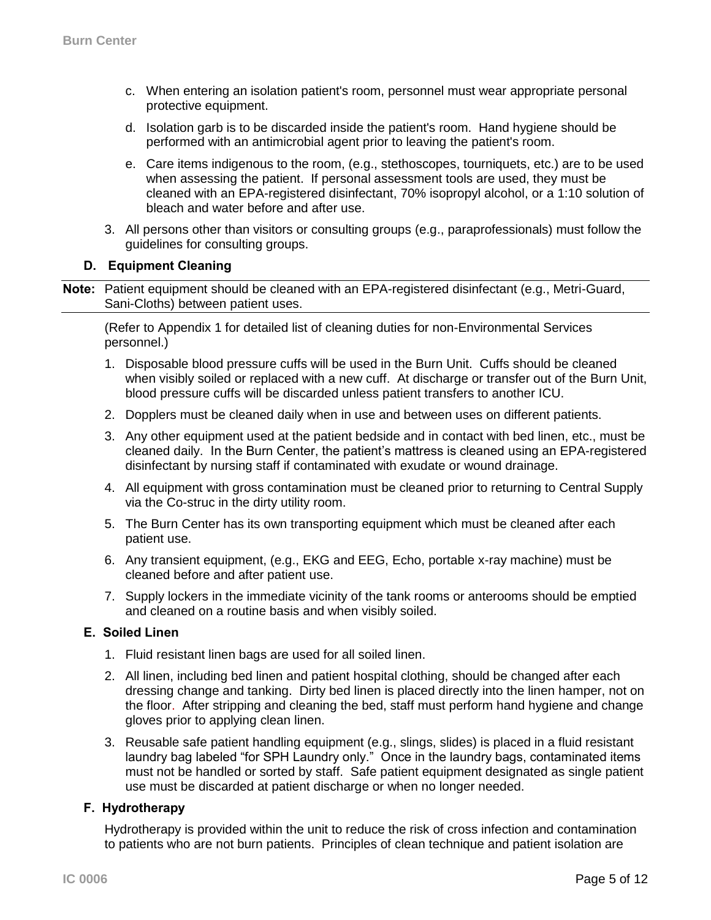- c. When entering an isolation patient's room, personnel must wear appropriate personal protective equipment.
- d. Isolation garb is to be discarded inside the patient's room. Hand hygiene should be performed with an antimicrobial agent prior to leaving the patient's room.
- e. Care items indigenous to the room, (e.g., stethoscopes, tourniquets, etc.) are to be used when assessing the patient. If personal assessment tools are used, they must be cleaned with an EPA-registered disinfectant, 70% isopropyl alcohol, or a 1:10 solution of bleach and water before and after use.
- 3. All persons other than visitors or consulting groups (e.g., paraprofessionals) must follow the guidelines for consulting groups.

## **D. Equipment Cleaning**

**Note:** Patient equipment should be cleaned with an EPA-registered disinfectant (e.g., Metri-Guard, Sani-Cloths) between patient uses.

(Refer to Appendix 1 for detailed list of cleaning duties for non-Environmental Services personnel.)

- 1. Disposable blood pressure cuffs will be used in the Burn Unit. Cuffs should be cleaned when visibly soiled or replaced with a new cuff. At discharge or transfer out of the Burn Unit, blood pressure cuffs will be discarded unless patient transfers to another ICU.
- 2. Dopplers must be cleaned daily when in use and between uses on different patients.
- 3. Any other equipment used at the patient bedside and in contact with bed linen, etc., must be cleaned daily. In the Burn Center, the patient's mattress is cleaned using an EPA-registered disinfectant by nursing staff if contaminated with exudate or wound drainage.
- 4. All equipment with gross contamination must be cleaned prior to returning to Central Supply via the Co-struc in the dirty utility room.
- 5. The Burn Center has its own transporting equipment which must be cleaned after each patient use.
- 6. Any transient equipment, (e.g., EKG and EEG, Echo, portable x-ray machine) must be cleaned before and after patient use.
- 7. Supply lockers in the immediate vicinity of the tank rooms or anterooms should be emptied and cleaned on a routine basis and when visibly soiled.

## **E. Soiled Linen**

- 1. Fluid resistant linen bags are used for all soiled linen.
- 2. All linen, including bed linen and patient hospital clothing, should be changed after each dressing change and tanking. Dirty bed linen is placed directly into the linen hamper, not on the floor. After stripping and cleaning the bed, staff must perform hand hygiene and change gloves prior to applying clean linen.
- 3. Reusable safe patient handling equipment (e.g., slings, slides) is placed in a fluid resistant laundry bag labeled "for SPH Laundry only." Once in the laundry bags, contaminated items must not be handled or sorted by staff. Safe patient equipment designated as single patient use must be discarded at patient discharge or when no longer needed.

## **F. Hydrotherapy**

Hydrotherapy is provided within the unit to reduce the risk of cross infection and contamination to patients who are not burn patients. Principles of clean technique and patient isolation are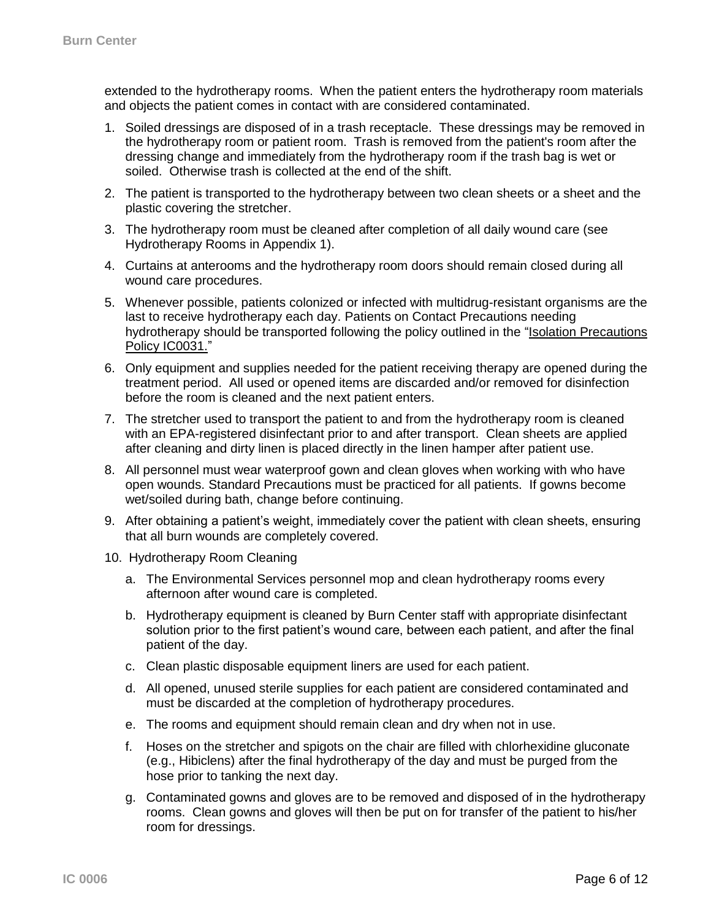extended to the hydrotherapy rooms. When the patient enters the hydrotherapy room materials and objects the patient comes in contact with are considered contaminated.

- 1. Soiled dressings are disposed of in a trash receptacle. These dressings may be removed in the hydrotherapy room or patient room. Trash is removed from the patient's room after the dressing change and immediately from the hydrotherapy room if the trash bag is wet or soiled. Otherwise trash is collected at the end of the shift.
- 2. The patient is transported to the hydrotherapy between two clean sheets or a sheet and the plastic covering the stretcher.
- 3. The hydrotherapy room must be cleaned after completion of all daily wound care (see Hydrotherapy Rooms in Appendix 1).
- 4. Curtains at anterooms and the hydrotherapy room doors should remain closed during all wound care procedures.
- 5. Whenever possible, patients colonized or infected with multidrug-resistant organisms are the last to receive hydrotherapy each day. Patients on Contact Precautions needing hydrotherapy should be transported following the policy outlined in the "*Isolation Precautions* [Policy IC0031.](http://intranet.unchealthcare.org/intranet/hospitaldepartments/infection/policies/Isolation)"
- 6. Only equipment and supplies needed for the patient receiving therapy are opened during the treatment period. All used or opened items are discarded and/or removed for disinfection before the room is cleaned and the next patient enters.
- 7. The stretcher used to transport the patient to and from the hydrotherapy room is cleaned with an EPA-registered disinfectant prior to and after transport. Clean sheets are applied after cleaning and dirty linen is placed directly in the linen hamper after patient use.
- 8. All personnel must wear waterproof gown and clean gloves when working with who have open wounds. Standard Precautions must be practiced for all patients. If gowns become wet/soiled during bath, change before continuing.
- 9. After obtaining a patient's weight, immediately cover the patient with clean sheets, ensuring that all burn wounds are completely covered.
- 10. Hydrotherapy Room Cleaning
	- a. The Environmental Services personnel mop and clean hydrotherapy rooms every afternoon after wound care is completed.
	- b. Hydrotherapy equipment is cleaned by Burn Center staff with appropriate disinfectant solution prior to the first patient's wound care, between each patient, and after the final patient of the day.
	- c. Clean plastic disposable equipment liners are used for each patient.
	- d. All opened, unused sterile supplies for each patient are considered contaminated and must be discarded at the completion of hydrotherapy procedures.
	- e. The rooms and equipment should remain clean and dry when not in use.
	- f. Hoses on the stretcher and spigots on the chair are filled with chlorhexidine gluconate (e.g., Hibiclens) after the final hydrotherapy of the day and must be purged from the hose prior to tanking the next day.
	- g. Contaminated gowns and gloves are to be removed and disposed of in the hydrotherapy rooms. Clean gowns and gloves will then be put on for transfer of the patient to his/her room for dressings.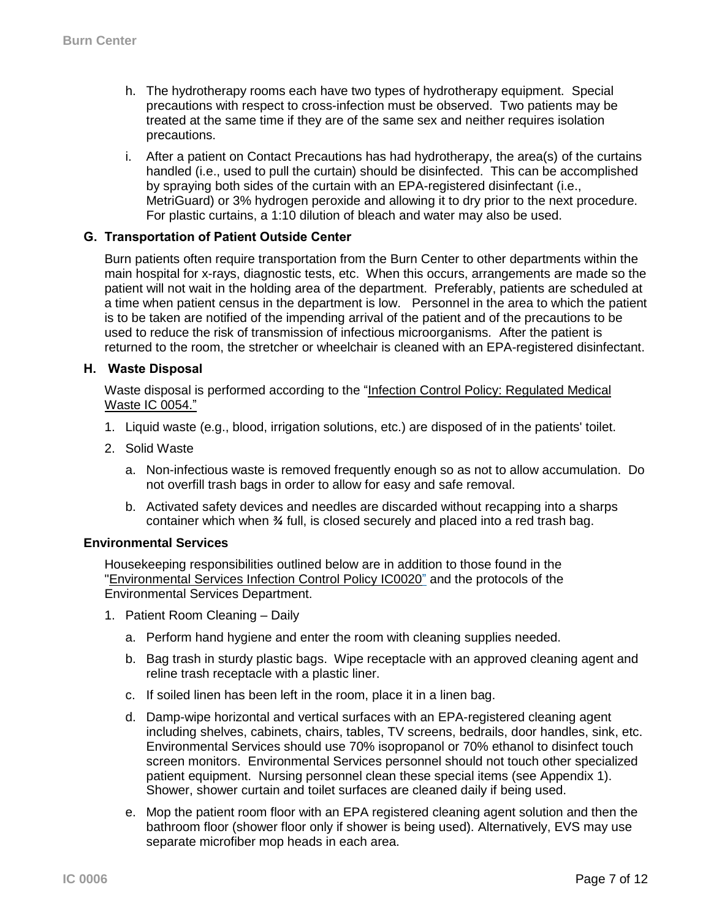- h. The hydrotherapy rooms each have two types of hydrotherapy equipment. Special precautions with respect to cross-infection must be observed. Two patients may be treated at the same time if they are of the same sex and neither requires isolation precautions.
- i. After a patient on Contact Precautions has had hydrotherapy, the area(s) of the curtains handled (i.e., used to pull the curtain) should be disinfected. This can be accomplished by spraying both sides of the curtain with an EPA-registered disinfectant (i.e., MetriGuard) or 3% hydrogen peroxide and allowing it to dry prior to the next procedure. For plastic curtains, a 1:10 dilution of bleach and water may also be used.

## **G. Transportation of Patient Outside Center**

Burn patients often require transportation from the Burn Center to other departments within the main hospital for x-rays, diagnostic tests, etc. When this occurs, arrangements are made so the patient will not wait in the holding area of the department. Preferably, patients are scheduled at a time when patient census in the department is low. Personnel in the area to which the patient is to be taken are notified of the impending arrival of the patient and of the precautions to be used to reduce the risk of transmission of infectious microorganisms*.* After the patient is returned to the room, the stretcher or wheelchair is cleaned with an EPA-registered disinfectant.

#### **H. Waste Disposal**

Waste disposal is performed according to the ["Infection Control Policy:](http://intranet.unchealthcare.org/hospitaldepartments/infection/policies/regmedwaste.pdf) Regulated Medical Waste [IC 0054."](http://intranet.unchealthcare.org/hospitaldepartments/infection/policies/regmedwaste.pdf)

- 1. Liquid waste (e.g., blood, irrigation solutions, etc.) are disposed of in the patients' toilet.
- 2. Solid Waste
	- a. Non-infectious waste is removed frequently enough so as not to allow accumulation. Do not overfill trash bags in order to allow for easy and safe removal.
	- b. Activated safety devices and needles are discarded without recapping into a sharps container which when *¾* full, is closed securely and placed into a red trash bag.

#### **Environmental Services**

Housekeeping responsibilities outlined below are in addition to those found in the ["Environmental Services Infection Control Policy](http://intranet.unchealthcare.org/hospitaldepartments/infection/policies/envirser.pdf) IC0020" and the protocols of the Environmental Services Department.

- 1. Patient Room Cleaning Daily
	- a. Perform hand hygiene and enter the room with cleaning supplies needed.
	- b. Bag trash in sturdy plastic bags. Wipe receptacle with an approved cleaning agent and reline trash receptacle with a plastic liner.
	- c. If soiled linen has been left in the room, place it in a linen bag.
	- d. Damp-wipe horizontal and vertical surfaces with an EPA-registered cleaning agent including shelves, cabinets, chairs, tables, TV screens, bedrails, door handles, sink, etc. Environmental Services should use 70% isopropanol or 70% ethanol to disinfect touch screen monitors. Environmental Services personnel should not touch other specialized patient equipment. Nursing personnel clean these special items (see Appendix 1). Shower, shower curtain and toilet surfaces are cleaned daily if being used.
	- e. Mop the patient room floor with an EPA registered cleaning agent solution and then the bathroom floor (shower floor only if shower is being used). Alternatively, EVS may use separate microfiber mop heads in each area.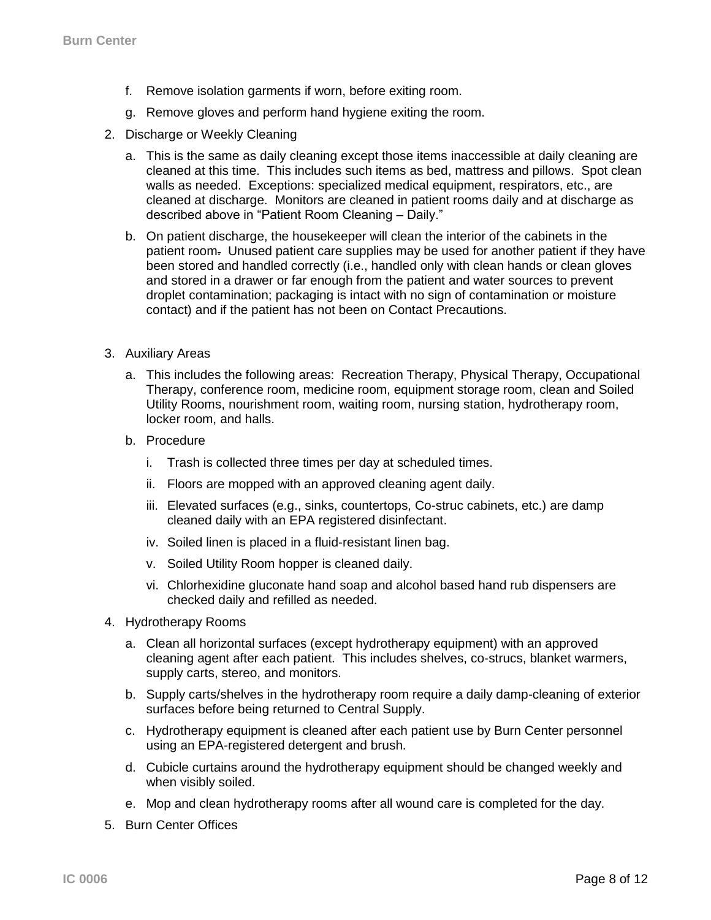- f. Remove isolation garments if worn, before exiting room.
- g. Remove gloves and perform hand hygiene exiting the room.
- 2. Discharge or Weekly Cleaning
	- a. This is the same as daily cleaning except those items inaccessible at daily cleaning are cleaned at this time. This includes such items as bed, mattress and pillows. Spot clean walls as needed. Exceptions: specialized medical equipment, respirators, etc., are cleaned at discharge. Monitors are cleaned in patient rooms daily and at discharge as described above in "Patient Room Cleaning – Daily."
	- b. On patient discharge, the housekeeper will clean the interior of the cabinets in the patient room. Unused patient care supplies may be used for another patient if they have been stored and handled correctly (i.e., handled only with clean hands or clean gloves and stored in a drawer or far enough from the patient and water sources to prevent droplet contamination; packaging is intact with no sign of contamination or moisture contact) and if the patient has not been on Contact Precautions.
- 3. Auxiliary Areas
	- a. This includes the following areas: Recreation Therapy, Physical Therapy, Occupational Therapy, conference room, medicine room, equipment storage room, clean and Soiled Utility Rooms, nourishment room, waiting room, nursing station, hydrotherapy room, locker room, and halls.
	- b. Procedure
		- i. Trash is collected three times per day at scheduled times.
		- ii. Floors are mopped with an approved cleaning agent daily.
		- iii. Elevated surfaces (e.g., sinks, countertops, Co-struc cabinets, etc.) are damp cleaned daily with an EPA registered disinfectant.
		- iv. Soiled linen is placed in a fluid-resistant linen bag.
		- v. Soiled Utility Room hopper is cleaned daily.
		- vi. Chlorhexidine gluconate hand soap and alcohol based hand rub dispensers are checked daily and refilled as needed.
- 4. Hydrotherapy Rooms
	- a. Clean all horizontal surfaces (except hydrotherapy equipment) with an approved cleaning agent after each patient. This includes shelves, co-strucs, blanket warmers, supply carts, stereo, and monitors.
	- b. Supply carts/shelves in the hydrotherapy room require a daily damp-cleaning of exterior surfaces before being returned to Central Supply.
	- c. Hydrotherapy equipment is cleaned after each patient use by Burn Center personnel using an EPA-registered detergent and brush.
	- d. Cubicle curtains around the hydrotherapy equipment should be changed weekly and when visibly soiled.
	- e. Mop and clean hydrotherapy rooms after all wound care is completed for the day.
- 5. Burn Center Offices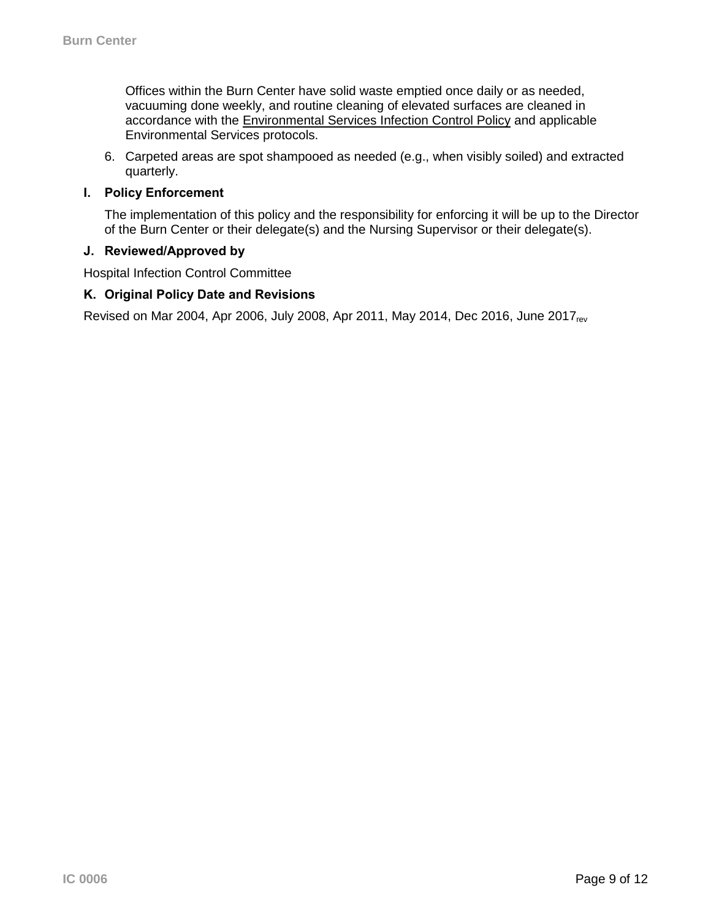Offices within the Burn Center have solid waste emptied once daily or as needed, vacuuming done weekly, and routine cleaning of elevated surfaces are cleaned in accordance with the [Environmental Services Infection Control Policy](http://intranet.unchealthcare.org/hospitaldepartments/infection/policies/envirser.pdf) and applicable Environmental Services protocols.

6. Carpeted areas are spot shampooed as needed (e.g., when visibly soiled) and extracted quarterly.

## **I. Policy Enforcement**

The implementation of this policy and the responsibility for enforcing it will be up to the Director of the Burn Center or their delegate(s) and the Nursing Supervisor or their delegate(s).

#### **J. Reviewed/Approved by**

Hospital Infection Control Committee

## **K. Original Policy Date and Revisions**

Revised on Mar 2004, Apr 2006, July 2008, Apr 2011, May 2014, Dec 2016, June 2017<sub>rev</sub>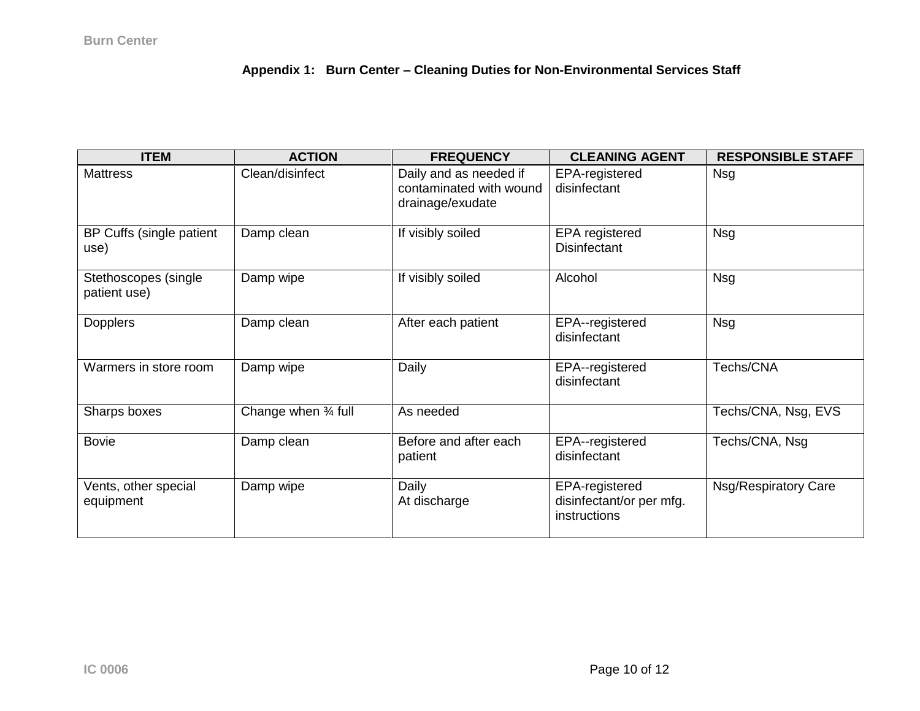# **Appendix 1: Burn Center – Cleaning Duties for Non-Environmental Services Staff**

| <b>ITEM</b>                          | <b>ACTION</b>       | <b>FREQUENCY</b>                                                      | <b>CLEANING AGENT</b>                                      | <b>RESPONSIBLE STAFF</b>    |
|--------------------------------------|---------------------|-----------------------------------------------------------------------|------------------------------------------------------------|-----------------------------|
| <b>Mattress</b>                      | Clean/disinfect     | Daily and as needed if<br>contaminated with wound<br>drainage/exudate | EPA-registered<br>disinfectant                             | Nsg                         |
| BP Cuffs (single patient<br>use)     | Damp clean          | If visibly soiled                                                     | <b>EPA</b> registered<br><b>Disinfectant</b>               | <b>Nsg</b>                  |
| Stethoscopes (single<br>patient use) | Damp wipe           | If visibly soiled                                                     | Alcohol                                                    | <b>Nsg</b>                  |
| <b>Dopplers</b>                      | Damp clean          | After each patient                                                    | EPA--registered<br>disinfectant                            | <b>Nsg</b>                  |
| Warmers in store room                | Damp wipe           | Daily                                                                 | EPA--registered<br>disinfectant                            | Techs/CNA                   |
| Sharps boxes                         | Change when 34 full | As needed                                                             |                                                            | Techs/CNA, Nsg, EVS         |
| <b>Bovie</b>                         | Damp clean          | Before and after each<br>patient                                      | EPA--registered<br>disinfectant                            | Techs/CNA, Nsg              |
| Vents, other special<br>equipment    | Damp wipe           | Daily<br>At discharge                                                 | EPA-registered<br>disinfectant/or per mfg.<br>instructions | <b>Nsg/Respiratory Care</b> |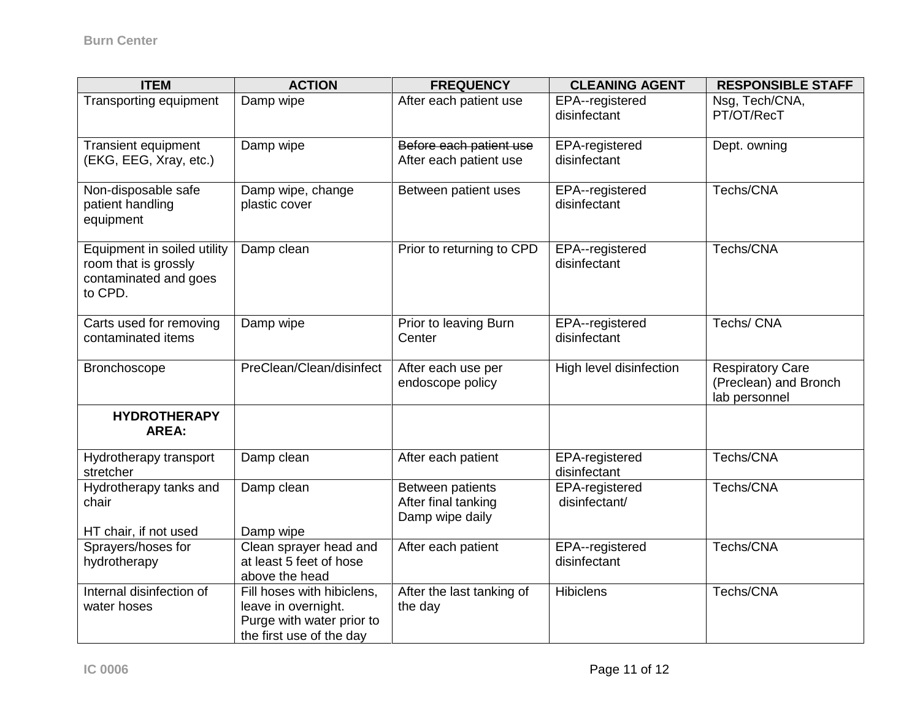| <b>ITEM</b>                                                                             | <b>ACTION</b>                                                                                              | <b>FREQUENCY</b>                                           | <b>CLEANING AGENT</b>           | <b>RESPONSIBLE STAFF</b>                                          |
|-----------------------------------------------------------------------------------------|------------------------------------------------------------------------------------------------------------|------------------------------------------------------------|---------------------------------|-------------------------------------------------------------------|
| <b>Transporting equipment</b>                                                           | Damp wipe                                                                                                  | After each patient use                                     | EPA--registered<br>disinfectant | Nsg, Tech/CNA,<br>PT/OT/RecT                                      |
| <b>Transient equipment</b><br>(EKG, EEG, Xray, etc.)                                    | Damp wipe                                                                                                  | Before each patient use<br>After each patient use          | EPA-registered<br>disinfectant  | Dept. owning                                                      |
| Non-disposable safe<br>patient handling<br>equipment                                    | Damp wipe, change<br>plastic cover                                                                         | Between patient uses                                       | EPA--registered<br>disinfectant | Techs/CNA                                                         |
| Equipment in soiled utility<br>room that is grossly<br>contaminated and goes<br>to CPD. | Damp clean                                                                                                 | Prior to returning to CPD                                  | EPA--registered<br>disinfectant | Techs/CNA                                                         |
| Carts used for removing<br>contaminated items                                           | Damp wipe                                                                                                  | Prior to leaving Burn<br>Center                            | EPA--registered<br>disinfectant | Techs/ CNA                                                        |
| Bronchoscope                                                                            | PreClean/Clean/disinfect                                                                                   | After each use per<br>endoscope policy                     | High level disinfection         | <b>Respiratory Care</b><br>(Preclean) and Bronch<br>lab personnel |
| <b>HYDROTHERAPY</b><br><b>AREA:</b>                                                     |                                                                                                            |                                                            |                                 |                                                                   |
| Hydrotherapy transport<br>stretcher                                                     | Damp clean                                                                                                 | After each patient                                         | EPA-registered<br>disinfectant  | Techs/CNA                                                         |
| Hydrotherapy tanks and<br>chair                                                         | Damp clean                                                                                                 | Between patients<br>After final tanking<br>Damp wipe daily | EPA-registered<br>disinfectant/ | Techs/CNA                                                         |
| HT chair, if not used<br>Sprayers/hoses for                                             | Damp wipe                                                                                                  |                                                            |                                 | Techs/CNA                                                         |
| hydrotherapy                                                                            | Clean sprayer head and<br>at least 5 feet of hose<br>above the head                                        | After each patient                                         | EPA--registered<br>disinfectant |                                                                   |
| Internal disinfection of<br>water hoses                                                 | Fill hoses with hibiclens,<br>leave in overnight.<br>Purge with water prior to<br>the first use of the day | After the last tanking of<br>the day                       | <b>Hibiclens</b>                | Techs/CNA                                                         |